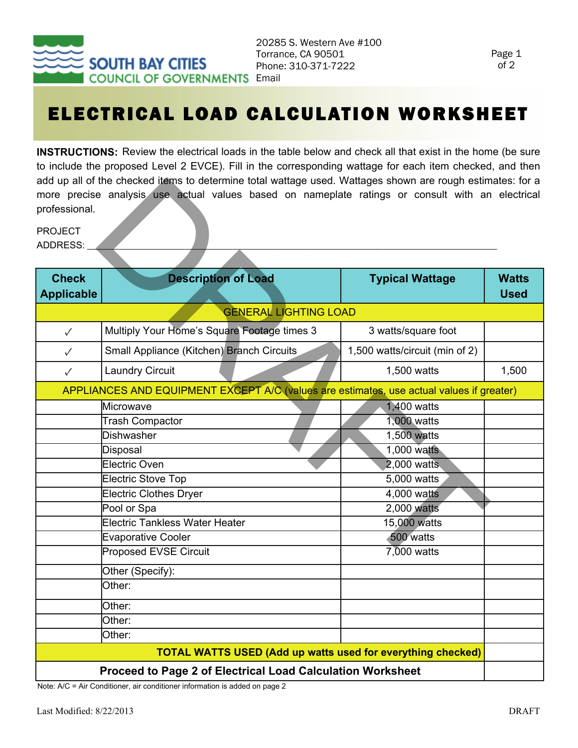

## ELECTRICAL LOAD CALCULATION WORKSHEET

**INSTRUCTIONS:** Review the electrical loads in the table below and check all that exist in the home (be sure to include the proposed Level 2 EVCE). Fill in the corresponding wattage for each item checked, and then add up all of the checked items to determine total wattage used. Wattages shown are rough estimates: for a more precise analysis use actual values based on nameplate ratings or consult with an electrical professional.

| professional.                                                                            | add up all of the checked items to determine total wattage used. Wattages shown are rough estimates: for a<br>more precise analysis use actual values based on nameplate ratings or consult with an electrical |                                |                             |  |
|------------------------------------------------------------------------------------------|----------------------------------------------------------------------------------------------------------------------------------------------------------------------------------------------------------------|--------------------------------|-----------------------------|--|
| <b>PROJECT</b><br>ADDRESS:                                                               |                                                                                                                                                                                                                |                                |                             |  |
| <b>Check</b><br><b>Applicable</b>                                                        | <b>Description of Load</b>                                                                                                                                                                                     | <b>Typical Wattage</b>         | <b>Watts</b><br><b>Used</b> |  |
| <b>GENERAL LIGHTING LOAD</b>                                                             |                                                                                                                                                                                                                |                                |                             |  |
| $\checkmark$                                                                             | Multiply Your Home's Square Footage times 3                                                                                                                                                                    | 3 watts/square foot            |                             |  |
| $\checkmark$                                                                             | Small Appliance (Kitchen) Branch Circuits                                                                                                                                                                      | 1,500 watts/circuit (min of 2) |                             |  |
| $\checkmark$                                                                             | <b>Laundry Circuit</b>                                                                                                                                                                                         | 1,500 watts                    | 1,500                       |  |
| APPLIANCES AND EQUIPMENT EXCEPT A/C (values are estimates, use actual values if greater) |                                                                                                                                                                                                                |                                |                             |  |
|                                                                                          | Microwave                                                                                                                                                                                                      | 1,400 watts                    |                             |  |
|                                                                                          | <b>Trash Compactor</b>                                                                                                                                                                                         | 1,000 watts                    |                             |  |
|                                                                                          | <b>Dishwasher</b>                                                                                                                                                                                              | 1,500 watts                    |                             |  |
|                                                                                          | Disposal                                                                                                                                                                                                       | 1,000 watts                    |                             |  |
|                                                                                          | <b>Electric Oven</b>                                                                                                                                                                                           | 2,000 watts                    |                             |  |
|                                                                                          | <b>Electric Stove Top</b>                                                                                                                                                                                      | 5,000 watts                    |                             |  |
|                                                                                          | <b>Electric Clothes Dryer</b>                                                                                                                                                                                  | 4,000 watts                    |                             |  |
|                                                                                          | Pool or Spa                                                                                                                                                                                                    | 2,000 watts                    |                             |  |
|                                                                                          | <b>Electric Tankless Water Heater</b>                                                                                                                                                                          | 15,000 watts                   |                             |  |
|                                                                                          | <b>Evaporative Cooler</b>                                                                                                                                                                                      | 500 watts                      |                             |  |
|                                                                                          | <b>Proposed EVSE Circuit</b>                                                                                                                                                                                   | 7,000 watts                    |                             |  |
|                                                                                          | Other (Specify):                                                                                                                                                                                               |                                |                             |  |
|                                                                                          | Other:                                                                                                                                                                                                         |                                |                             |  |
|                                                                                          | Other:                                                                                                                                                                                                         |                                |                             |  |
|                                                                                          | Other:                                                                                                                                                                                                         |                                |                             |  |
|                                                                                          | Other:                                                                                                                                                                                                         |                                |                             |  |
| <b>TOTAL WATTS USED (Add up watts used for everything checked)</b>                       |                                                                                                                                                                                                                |                                |                             |  |
| Proceed to Page 2 of Electrical Load Calculation Worksheet                               |                                                                                                                                                                                                                |                                |                             |  |

Note: A/C = Air Conditioner, air conditioner information is added on page 2